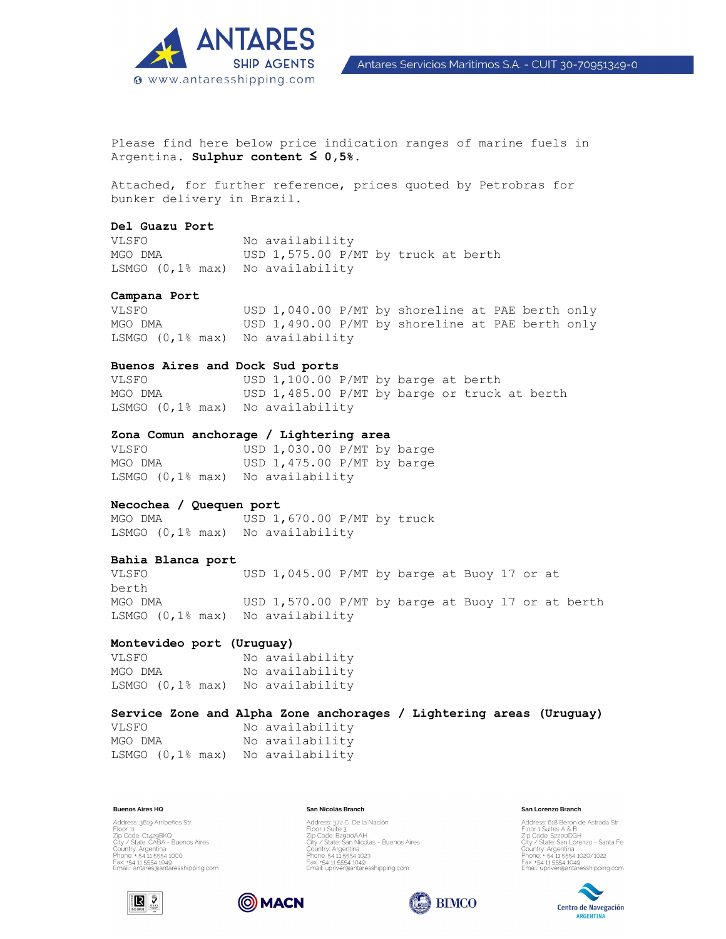

Antares Servicios Maritimos S.A. - CUIT 30-70951349-0

Please find here below price indication ranges of marine fuels in Argentina. **Sulphur content ≤ 0,5%.** 

Attached, for further reference, prices quoted by Petrobras for bunker delivery in Brazil.

# **Del Guazu Port**

VLSFO No availability MGO DMA USD 1,575.00 P/MT by truck at berth LSMGO (0,1% max) No availability

## **Campana Port**

VLSFO USD 1,040.00 P/MT by shoreline at PAE berth only MGO DMA USD 1,490.00 P/MT by shoreline at PAE berth only LSMGO (0,1% max) No availability

# **Buenos Aires and Dock Sud ports**

VLSFO USD 1,100.00 P/MT by barge at berth MGO DMA USD 1,485.00 P/MT by barge or truck at berth LSMGO (0,1% max) No availability

## **Zona Comun anchorage / Lightering area**

VLSFO USD 1,030.00 P/MT by barge MGO DMA USD 1,475.00 P/MT by barge LSMGO (0,1% max) No availability

# **Necochea / Quequen port**

MGO DMA USD 1,670.00 P/MT by truck LSMGO (0,1% max) No availability

# **Bahia Blanca port**

VLSFO USD 1,045.00 P/MT by barge at Buoy 17 or at berth MGO DMA USD 1,570.00 P/MT by barge at Buoy 17 or at berth LSMGO (0,1% max) No availability

## **Montevideo port (Uruguay)**

VLSFO No availability MGO DMA No availability LSMGO (0,1% max) No availability

# **Service Zone and Alpha Zone anchorages / Lightering areas (Uruguay)**

VLSFO No availability MGO DMA No availability LSMGO (0,1% max) No availability

### **Buenos Aires HQ**

Address: 3619 Arribeños Str. Nutress, 3019 Armenius 311.<br>Eloor 11<br>Zip Code: C1429BKO<br>Cuntry: Argentina<br>Phone: +54 11 5554 1000<br>Phone: +54 11 5554 1000 Fax: +54 11 5554 1049<br>Email: antares@antaresshipping.com

### San Nicolás Branch

Address: 372 C. De la Nación<br>Floor 1 Suite 3<br>Zip Code: B2900AAH<br>City / State: San Nicolas - Buenos Aires Country: Argentina<br>Phone: 54 11 5554 1023 Fax: +54 11 5554 1049<br>Email: upriver@antaresshipping.com

### San Lorenzo Branch

Address: 618 Beron de Astrada Str.<br>Floor 1 Suites A & B<br>Zip Code: Sz200DGH<br>City / State. San Lorenzo - Santa Fe<br>City / State. San Lorenzo - Santa Fe<br>Phone: + 54 11 5554 1020/1022 Fax: +54 11 5554 1049<br>Email: upriver@antaresshipping.com







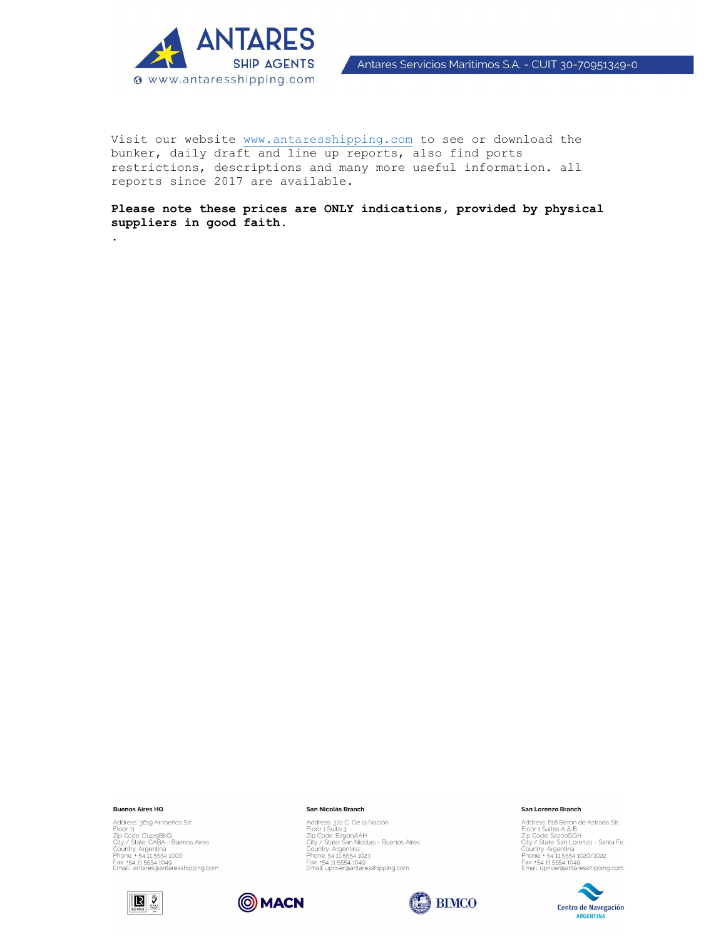

Visit our website www.antaresshipping.com to see or download the bunker, daily draft and line up reports, also find ports restrictions, descriptions and many more useful information. all reports since 2017 are available.

Please note these prices are ONLY indications, provided by physical suppliers in good faith.

### **Buenos Aires HQ**

Address: 3619 Arribeños Str. Address: 3619 Arribenos Str.<br>Floor 11<br>Zip Code: C1.429BK0<br>City / State: CABA - Buenos Aires<br>Country: Argentina<br>Panne: + 54 11.5554 1049<br>Frax: +54 11.5554 1049<br>Email: antares@antaresshipping.com





Address: 372 C De la Nación<br>Floor 1 Suite 3<br>Zip Code: B2900AAH<br>City / State San Nicolas – Buenos Aires<br>Country: Argentina<br>Phone: 54 11 5554 1049<br>Frax: +54 11 5554 1049<br>Email: upriver@antaresshipping.com

San Nicolás Branch



### **San Lorenzo Branch**

Address: 618 Beron de Astrada Str.<br>
Address: 618 Beron de Astrada Str.<br>
Zip Code: S2200DGH<br>
City / State San Lorenzo - Santa Fe<br>
Country. Argentina<br>
Phone. - 54 11 5554 1020/1022<br>
Frax. -54 11 5554 1029<br>
Email: upriver@ant